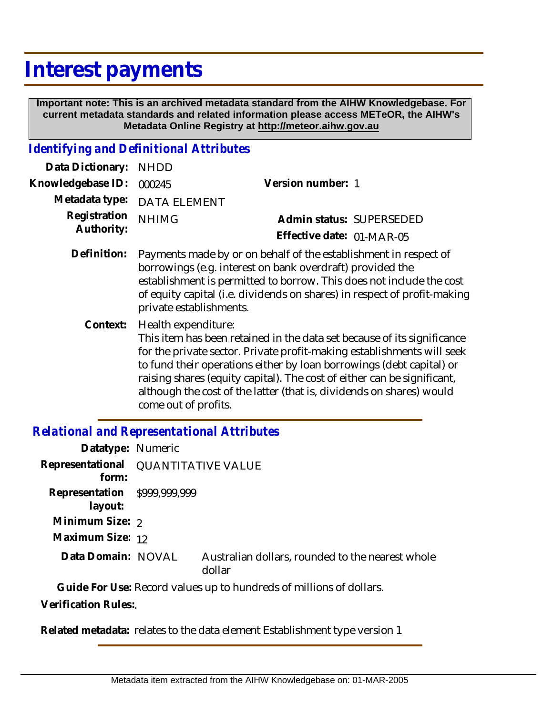# **Interest payments**

 **Important note: This is an archived metadata standard from the AIHW Knowledgebase. For current metadata standards and related information please access METeOR, the AIHW's Metadata Online Registry at http://meteor.aihw.gov.au**

#### *Identifying and Definitional Attributes*

| Data Dictionary:           | <b>NHDD</b>                                 |                                                                                                                                                                                                                                                                                                                                                                              |
|----------------------------|---------------------------------------------|------------------------------------------------------------------------------------------------------------------------------------------------------------------------------------------------------------------------------------------------------------------------------------------------------------------------------------------------------------------------------|
| Knowledgebase ID:          | 000245                                      | Version number: 1                                                                                                                                                                                                                                                                                                                                                            |
| Metadata type:             | <b>DATA ELEMENT</b>                         |                                                                                                                                                                                                                                                                                                                                                                              |
| Registration<br>Authority: | <b>NHIMG</b>                                | Admin status: SUPERSEDED                                                                                                                                                                                                                                                                                                                                                     |
|                            |                                             | Effective date: 01-MAR-05                                                                                                                                                                                                                                                                                                                                                    |
| Definition:                | private establishments.                     | Payments made by or on behalf of the establishment in respect of<br>borrowings (e.g. interest on bank overdraft) provided the<br>establishment is permitted to borrow. This does not include the cost<br>of equity capital (i.e. dividends on shares) in respect of profit-making                                                                                            |
| Context:                   | Health expenditure:<br>come out of profits. | This item has been retained in the data set because of its significance<br>for the private sector. Private profit-making establishments will seek<br>to fund their operations either by loan borrowings (debt capital) or<br>raising shares (equity capital). The cost of either can be significant,<br>although the cost of the latter (that is, dividends on shares) would |

### *Relational and Representational Attributes*

| Datatype: Numeric                            |                                                            |
|----------------------------------------------|------------------------------------------------------------|
| Representational QUANTITATIVE VALUE<br>form: |                                                            |
| Representation \$999,999,999<br>layout:      |                                                            |
| Minimum Size: 2                              |                                                            |
| Maximum Size: 12                             |                                                            |
| Data Domain: NOVAL                           | Australian dollars, rounded to the nearest whole<br>dollar |

**Guide For Use:** Record values up to hundreds of millions of dollars.

**Verification Rules:**.

**Related metadata:** relates to the data element Establishment type version 1